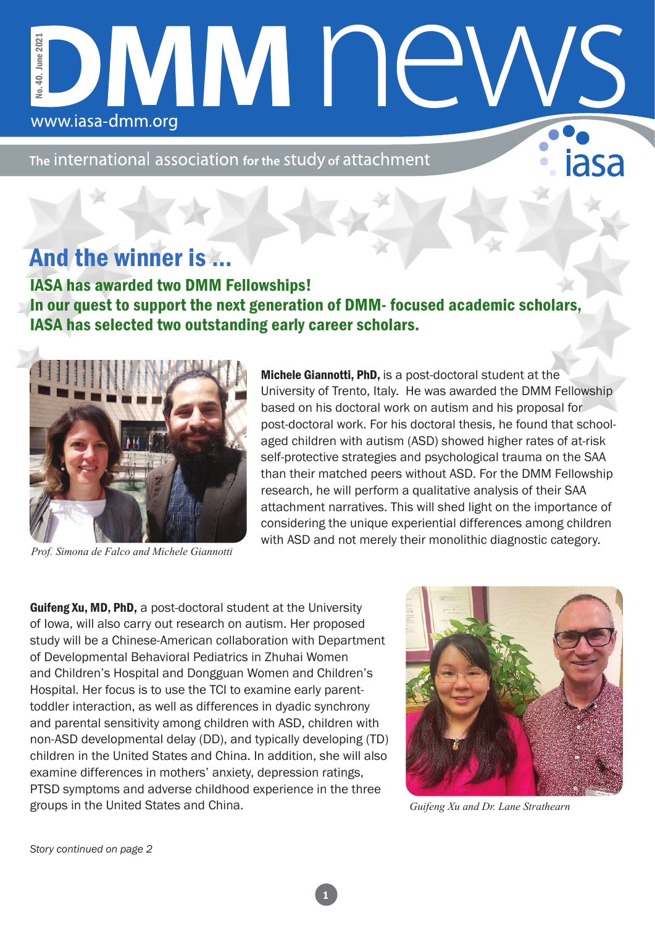## No. 40. June 2021 40. June 2021 DIVINI I I<del>C</del> έé. www.iasa-dmm.org

The international association for the study of attachment

## And the winner is …

IASA has awarded two DMM Fellowships! In our quest to support the next generation of DMM- focused academic scholars, IASA has selected two outstanding early career scholars.



*Prof. Simona de Falco and Michele Giannotti*

Michele Giannotti, PhD, is a post-doctoral student at the University of Trento, Italy. He was awarded the DMM Fellowship based on his doctoral work on autism and his proposal for post-doctoral work. For his doctoral thesis, he found that schoolaged children with autism (ASD) showed higher rates of at-risk self-protective strategies and psychological trauma on the SAA than their matched peers without ASD. For the DMM Fellowship research, he will perform a qualitative analysis of their SAA attachment narratives. This will shed light on the importance of considering the unique experiential differences among children with ASD and not merely their monolithic diagnostic category.

Guifeng Xu, MD, PhD, a post-doctoral student at the University of Iowa, will also carry out research on autism. Her proposed study will be a Chinese-American collaboration with Department of Developmental Behavioral Pediatrics in Zhuhai Women and Children's Hospital and Dongguan Women and Children's Hospital. Her focus is to use the TCI to examine early parenttoddler interaction, as well as differences in dyadic synchrony and parental sensitivity among children with ASD, children with non-ASD developmental delay (DD), and typically developing (TD) children in the United States and China. In addition, she will also examine differences in mothers' anxiety, depression ratings, PTSD symptoms and adverse childhood experience in the three groups in the United States and China.



*Guifeng Xu and Dr. Lane Strathearn*